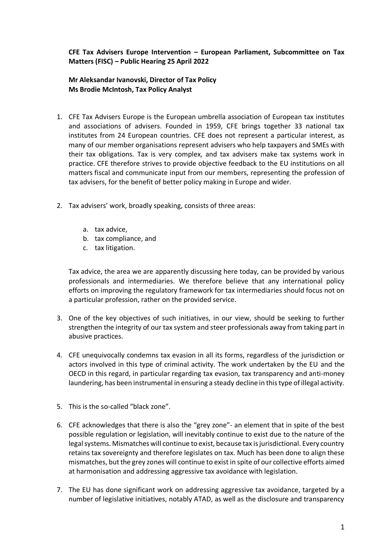## **CFE Tax Advisers Europe Intervention – European Parliament, Subcommittee on Tax Matters (FISC) – Public Hearing 25 April 2022**

## **Mr Aleksandar Ivanovski, Director of Tax Policy Ms Brodie McIntosh, Tax Policy Analyst**

- 1. CFE Tax Advisers Europe is the European umbrella association of European tax institutes and associations of advisers. Founded in 1959, CFE brings together 33 national tax institutes from 24 European countries. CFE does not represent a particular interest, as many of our member organisations represent advisers who help taxpayers and SMEs with their tax obligations. Tax is very complex, and tax advisers make tax systems work in practice. CFE therefore strives to provide objective feedback to the EU institutions on all matters fiscal and communicate input from our members, representing the profession of tax advisers, for the benefit of better policy making in Europe and wider.
- 2. Tax advisers' work, broadly speaking, consists of three areas:
	- a. tax advice,
	- b. tax compliance, and
	- c. tax litigation.

Tax advice, the area we are apparently discussing here today, can be provided by various professionals and intermediaries. We therefore believe that any international policy efforts on improving the regulatory framework for tax intermediaries should focus not on a particular profession, rather on the provided service.

- 3. One of the key objectives of such initiatives, in our view, should be seeking to further strengthen the integrity of our tax system and steer professionals away from taking part in abusive practices.
- 4. CFE unequivocally condemns tax evasion in all its forms, regardless of the jurisdiction or actors involved in this type of criminal activity. The work undertaken by the EU and the OECD in this regard, in particular regarding tax evasion, tax transparency and anti-money laundering, has been instrumental in ensuring a steady decline in this type of illegal activity.
- 5. This is the so-called "black zone".
- 6. CFE acknowledges that there is also the "grey zone"- an element that in spite of the best possible regulation or legislation, will inevitably continue to exist due to the nature of the legal systems. Mismatches will continue to exist, because tax is jurisdictional. Every country retains tax sovereignty and therefore legislates on tax. Much has been done to align these mismatches, but the grey zones will continue to exist in spite of our collective efforts aimed at harmonisation and addressing aggressive tax avoidance with legislation.
- 7. The EU has done significant work on addressing aggressive tax avoidance, targeted by a number of legislative initiatives, notably ATAD, as well as the disclosure and transparency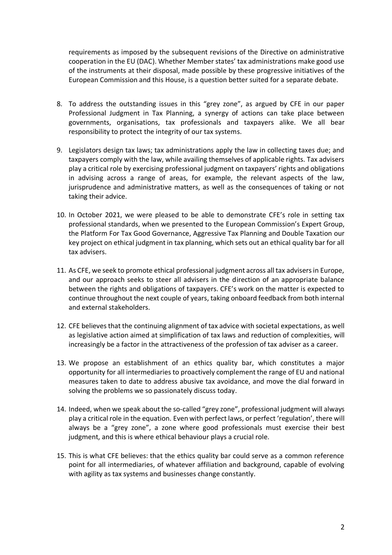requirements as imposed by the subsequent revisions of the Directive on administrative cooperation in the EU (DAC). Whether Member states' tax administrations make good use of the instruments at their disposal, made possible by these progressive initiatives of the European Commission and this House, is a question better suited for a separate debate.

- 8. To address the outstanding issues in this "grey zone", as argued by CFE in our paper Professional Judgment in Tax Planning, a synergy of actions can take place between governments, organisations, tax professionals and taxpayers alike. We all bear responsibility to protect the integrity of our tax systems.
- 9. Legislators design tax laws; tax administrations apply the law in collecting taxes due; and taxpayers comply with the law, while availing themselves of applicable rights. Tax advisers play a critical role by exercising professional judgment on taxpayers' rights and obligations in advising across a range of areas, for example, the relevant aspects of the law, jurisprudence and administrative matters, as well as the consequences of taking or not taking their advice.
- 10. In October 2021, we were pleased to be able to demonstrate CFE's role in setting tax professional standards, when we presented to the European Commission's Expert Group, the Platform For Tax Good Governance, Aggressive Tax Planning and Double Taxation our key project on ethical judgment in tax planning, which sets out an ethical quality bar for all tax advisers.
- 11. As CFE, we seek to promote ethical professional judgment across all tax advisers in Europe, and our approach seeks to steer all advisers in the direction of an appropriate balance between the rights and obligations of taxpayers. CFE's work on the matter is expected to continue throughout the next couple of years, taking onboard feedback from both internal and external stakeholders.
- 12. CFE believes that the continuing alignment of tax advice with societal expectations, as well as legislative action aimed at simplification of tax laws and reduction of complexities, will increasingly be a factor in the attractiveness of the profession of tax adviser as a career.
- 13. We propose an establishment of an ethics quality bar, which constitutes a major opportunity for all intermediaries to proactively complement the range of EU and national measures taken to date to address abusive tax avoidance, and move the dial forward in solving the problems we so passionately discuss today.
- 14. Indeed, when we speak about the so-called "grey zone", professional judgment will always play a critical role in the equation. Even with perfect laws, or perfect 'regulation', there will always be a "grey zone", a zone where good professionals must exercise their best judgment, and this is where ethical behaviour plays a crucial role.
- 15. This is what CFE believes: that the ethics quality bar could serve as a common reference point for all intermediaries, of whatever affiliation and background, capable of evolving with agility as tax systems and businesses change constantly.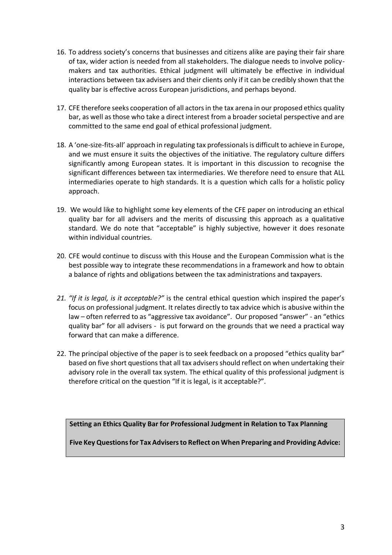- 16. To address society's concerns that businesses and citizens alike are paying their fair share of tax, wider action is needed from all stakeholders. The dialogue needs to involve policymakers and tax authorities. Ethical judgment will ultimately be effective in individual interactions between tax advisers and their clients only if it can be credibly shown that the quality bar is effective across European jurisdictions, and perhaps beyond.
- 17. CFE therefore seeks cooperation of all actors in the tax arena in our proposed ethics quality bar, as well as those who take a direct interest from a broader societal perspective and are committed to the same end goal of ethical professional judgment.
- 18. A 'one-size-fits-all' approach in regulating tax professionals is difficult to achieve in Europe, and we must ensure it suits the objectives of the initiative. The regulatory culture differs significantly among European states. It is important in this discussion to recognise the significant differences between tax intermediaries. We therefore need to ensure that ALL intermediaries operate to high standards. It is a question which calls for a holistic policy approach.
- 19. We would like to highlight some key elements of the CFE paper on introducing an ethical quality bar for all advisers and the merits of discussing this approach as a qualitative standard. We do note that "acceptable" is highly subjective, however it does resonate within individual countries.
- 20. CFE would continue to discuss with this House and the European Commission what is the best possible way to integrate these recommendations in a framework and how to obtain a balance of rights and obligations between the tax administrations and taxpayers.
- *21. "If it is legal, is it acceptable?"* is the central ethical question which inspired the paper's focus on professional judgment. It relates directly to tax advice which is abusive within the law – often referred to as "aggressive tax avoidance". Our proposed "answer" - an "ethics quality bar" for all advisers - is put forward on the grounds that we need a practical way forward that can make a difference.
- 22. The principal objective of the paper is to seek feedback on a proposed "ethics quality bar" based on five short questions that all tax advisers should reflect on when undertaking their advisory role in the overall tax system. The ethical quality of this professional judgment is therefore critical on the question "If it is legal, is it acceptable?".

**Setting an Ethics Quality Bar for Professional Judgment in Relation to Tax Planning**

**Five Key Questions for Tax Advisers to Reflect on When Preparing and Providing Advice:**